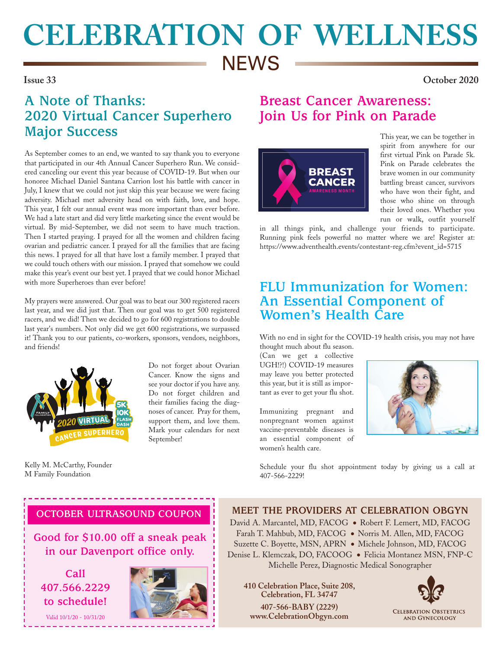# **CELEBRATION OF WELLNESS NEWS**

**Issue 33 October 2020**

## **A Note of Thanks: 2020 Virtual Cancer Superhero Major Success**

As September comes to an end, we wanted to say thank you to everyone that participated in our 4th Annual Cancer Superhero Run. We considered canceling our event this year because of COVID-19. But when our honoree Michael Daniel Santana Carrion lost his battle with cancer in July, I knew that we could not just skip this year because we were facing adversity. Michael met adversity head on with faith, love, and hope. This year, I felt our annual event was more important than ever before. We had a late start and did very little marketing since the event would be virtual. By mid-September, we did not seem to have much traction. Then I started praying. I prayed for all the women and children facing ovarian and pediatric cancer. I prayed for all the families that are facing this news. I prayed for all that have lost a family member. I prayed that we could touch others with our mission. I prayed that somehow we could make this year's event our best yet. I prayed that we could honor Michael with more Superheroes than ever before!

My prayers were answered. Our goal was to beat our 300 registered racers last year, and we did just that. Then our goal was to get 500 registered racers, and we did! Then we decided to go for 600 registrations to double last year's numbers. Not only did we get 600 registrations, we surpassed it! Thank you to our patients, co-workers, sponsors, vendors, neighbors, and friends!



Do not forget about Ovarian Cancer. Know the signs and see your doctor if you have any. Do not forget children and their families facing the diagnoses of cancer. Pray for them, support them, and love them. Mark your calendars for next September!

Kelly M. McCarthy, Founder M Family Foundation

# **Breast Cancer Awareness: Join Us for Pink on Parade**



This year, we can be together in spirit from anywhere for our first virtual Pink on Parade 5k. Pink on Parade celebrates the brave women in our community battling breast cancer, survivors who have won their fight, and those who shine on through their loved ones. Whether you run or walk, outfit yourself

in all things pink, and challenge your friends to participate. Running pink feels powerful no matter where we are! Register at: https://www.adventhealth.events/contestant-reg.cfm?event\_id=5715

#### **FLU Immunization for Women: An Essential Component of Women's Health Care**

With no end in sight for the COVID-19 health crisis, you may not have thought much about flu season.

(Can we get a collective UGH!?!) COVID-19 measures may leave you better protected this year, but it is still as important as ever to get your flu shot.

Immunizing pregnant and nonpregnant women against vaccine-preventable diseases is an essential component of women's health care.



Schedule your flu shot appointment today by giving us a call at 407-566-2229!

#### **OCTOBER ULTRASOUND COUPON**

**Good for \$10.00 off a sneak peak in our Davenport office only.** 

**Call 407.566.2229 to schedule!**

Valid 10/1/20 - 10/31/20



**MEET THE PROVIDERS AT CELEBRATION OBGYN** David A. Marcantel, MD, FACOG ● Robert F. Lemert, MD, FACOG Farah T. Mahbub, MD, FACOG ● Norris M. Allen, MD, FACOG Suzette C. Boyette, MSN, APRN ● Michele Johnson, MD, FACOG Denise L. Klemczak, DO, FACOOG ● Felicia Montanez MSN, FNP-C Michelle Perez, Diagnostic Medical Sonographer

**410 Celebration Place, Suite 208, Celebration, FL 34747 407-566-BABY (2229) www.CelebrationObgyn.com**



**CELEBRATION OBSTETRICS AND GYNECOLOGY**